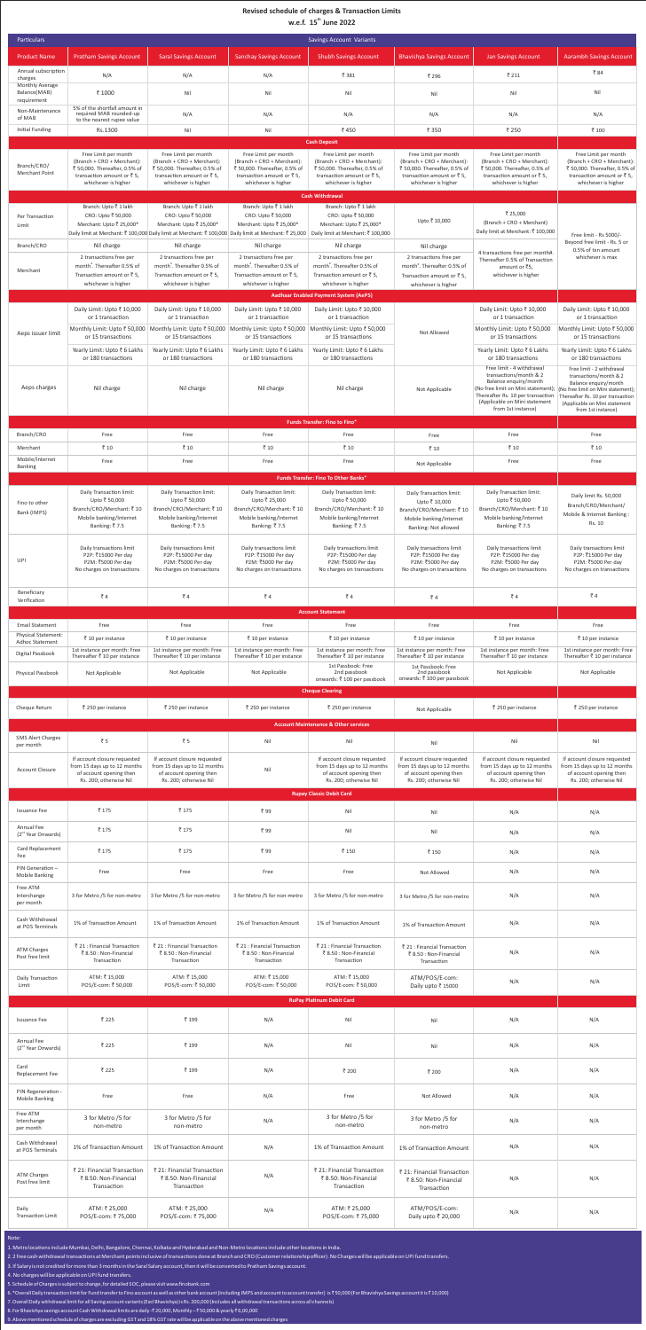## **Revised schedule of charges & Transaction Limits** w.e.f.  $15$ <sup>th</sup> June 2022

| <b>Particulars</b>                                                                                        |                                                                                                                                                       |                                                                                                                                                                                                                       |                                                                                                                                                       | <b>Savings Account Variants</b>                                                                                                                                                                           |                                                                                                                                                       |                                                                                                                                                                                        |                                                                                                                                                                                         |
|-----------------------------------------------------------------------------------------------------------|-------------------------------------------------------------------------------------------------------------------------------------------------------|-----------------------------------------------------------------------------------------------------------------------------------------------------------------------------------------------------------------------|-------------------------------------------------------------------------------------------------------------------------------------------------------|-----------------------------------------------------------------------------------------------------------------------------------------------------------------------------------------------------------|-------------------------------------------------------------------------------------------------------------------------------------------------------|----------------------------------------------------------------------------------------------------------------------------------------------------------------------------------------|-----------------------------------------------------------------------------------------------------------------------------------------------------------------------------------------|
| <b>Product Name</b>                                                                                       | <b>Pratham Savings Account</b>                                                                                                                        | <b>Saral Savings Account</b>                                                                                                                                                                                          | <b>Sanchay Savings Account</b>                                                                                                                        | <b>Shubh Savings Account</b>                                                                                                                                                                              | <b>Bhavishya Savings Account</b>                                                                                                                      | <b>Jan Savings Account</b>                                                                                                                                                             | <b>Aarambh Savings Account</b>                                                                                                                                                          |
| Annual subscription<br>charges                                                                            | N/A                                                                                                                                                   | N/A                                                                                                                                                                                                                   | N/A                                                                                                                                                   | ₹ 381                                                                                                                                                                                                     | ₹ 296                                                                                                                                                 | ₹ 211                                                                                                                                                                                  | ₹84                                                                                                                                                                                     |
| <b>Monthly Average</b><br>Balance(MAB)                                                                    | ₹ 1000                                                                                                                                                | Nil                                                                                                                                                                                                                   | Nil                                                                                                                                                   | Nil                                                                                                                                                                                                       | Nil                                                                                                                                                   | Nil                                                                                                                                                                                    | Nil                                                                                                                                                                                     |
| requirement<br>Non-Maintenance                                                                            | 5% of the shortfall amount in                                                                                                                         |                                                                                                                                                                                                                       |                                                                                                                                                       |                                                                                                                                                                                                           |                                                                                                                                                       |                                                                                                                                                                                        |                                                                                                                                                                                         |
| of MAB                                                                                                    | required MAB rounded-up<br>to the nearest rupee value                                                                                                 | N/A                                                                                                                                                                                                                   | N/A                                                                                                                                                   | N/A                                                                                                                                                                                                       | N/A                                                                                                                                                   | N/A                                                                                                                                                                                    | N/A                                                                                                                                                                                     |
| <b>Initial Funding</b>                                                                                    | Rs.1300                                                                                                                                               | Nil                                                                                                                                                                                                                   | Nil                                                                                                                                                   | ₹450<br><b>Cash Deposit</b>                                                                                                                                                                               | ₹ 350                                                                                                                                                 | ₹ 250                                                                                                                                                                                  | ₹ 100                                                                                                                                                                                   |
| Branch/CRO/<br><b>Merchant Point</b>                                                                      | Free Limit per month<br>(Branch + CRO + Merchant):<br>₹ 50,000. Thereafter, 0.5% of<br>transaction amount or $\overline{5}$ 5,<br>whichever is higher | Free Limit per month<br>(Branch + CRO + Merchant):<br>₹ 50,000. Thereafter, 0.5% of<br>transaction amount or $\overline{5}$ 5,<br>whichever is higher                                                                 | Free Limit per month<br>(Branch + CRO + Merchant):<br>₹ 50,000. Thereafter, 0.5% of<br>transaction amount or $\overline{5}$ 5,<br>whichever is higher | Free Limit per month<br>(Branch + CRO + Merchant):<br>₹ 50,000. Thereafter, 0.5% of<br>transaction amount or $\overline{5}$ 5,<br>whichever is higher                                                     | Free Limit per month<br>(Branch + CRO + Merchant):<br>₹ 50,000. Thereafter, 0.5% of<br>transaction amount or $\overline{5}$ 5,<br>whichever is higher | Free Limit per month<br>(Branch + CRO + Merchant):<br>₹ 50,000. Thereafter, 0.5% of<br>transaction amount or $\overline{5}$ 5,<br>whichever is higher                                  | Free Limit per month<br>(Branch + CRO + Merchant):<br>₹ 50,000. Thereafter, 0.5% of<br>transaction amount or $\overline{5}$ 5,<br>whichever is higher                                   |
| Per Transaction<br>Limit                                                                                  | Branch: Upto ₹ 1 lakh<br>CRO: Upto ₹ 50,000<br>Merchant: Upto ₹ 25,000*                                                                               | Branch: Upto ₹ 1 lakh<br>CRO: Upto ₹ 50,000<br>Merchant: Upto ₹ 25,000*<br>Daily limit at Merchant: ₹ 100,000 Daily limit at Merchant: ₹ 100,000 Daily limit at Merchant: ₹ 25,000                                    | Branch: Upto ₹ 1 lakh<br>CRO: Upto ₹ 50,000<br>Merchant: Upto ₹ 25,000*                                                                               | <b>Cash Withdrawal</b><br>Branch: Upto ₹ 1 lakh<br>CRO: Upto ₹ 50,000<br>Merchant: Upto ₹ 25,000*<br>Daily limit at Merchant: ₹ 100,000                                                                   | Upto ₹ 10,000                                                                                                                                         | ₹ 25,000<br>(Branch + CRO + Merchant)<br>Daily limit at Merchant: ₹ 100,000                                                                                                            | Free limit - Rs 5000/-                                                                                                                                                                  |
| Branch/CRO                                                                                                | Nil charge<br>2 transactions free per                                                                                                                 | Nil charge<br>2 transactions free per                                                                                                                                                                                 | Nil charge<br>2 transactions free per                                                                                                                 | Nil charge<br>2 transactions free per                                                                                                                                                                     | Nil charge<br>2 transactions free per                                                                                                                 | 4 transactions free per month#.                                                                                                                                                        | Beyond free limit - Rs. 5 or<br>0.5% of txn amount<br>whichever is max                                                                                                                  |
| Merchant                                                                                                  | month <sup>#</sup> . Thereafter 0.5% of                                                                                                               | month <sup>#</sup> . Thereafter 0.5% of                                                                                                                                                                               | month <sup>#</sup> . Thereafter 0.5% of                                                                                                               | month <sup>#</sup> . Thereafter 0.5% of                                                                                                                                                                   | month <sup>#</sup> . Thereafter 0.5% of                                                                                                               | Thereafter 0.5% of Transaction<br>amount or ₹5,                                                                                                                                        |                                                                                                                                                                                         |
|                                                                                                           | Transaction amount or $\overline{5}$ 5,<br>whichever is higher                                                                                        | Transaction amount or $\overline{5}$ 5,<br>whichever is higher                                                                                                                                                        | Transaction amount or $\overline{5}$ 5,<br>whichever is higher                                                                                        | Transaction amount or $\overline{5}$ 5,<br>whichever is higher                                                                                                                                            | Transaction amount or ₹ 5,<br>whichever is higher                                                                                                     | whichever is higher                                                                                                                                                                    |                                                                                                                                                                                         |
| Aeps issuer limit                                                                                         | Daily Limit: Upto ₹ 10,000<br>or 1 transaction<br>or 15 transactions<br>Yearly Limit: Upto ₹6 Lakhs<br>or 180 transactions                            | Daily Limit: Upto ₹ 10,000<br>or 1 transaction<br>Monthly Limit: Upto ₹50,000   Monthly Limit: Upto ₹50,000   Monthly Limit: Upto ₹50,000<br>or 15 transactions<br>Yearly Limit: Upto ₹6 Lakhs<br>or 180 transactions | Daily Limit: Upto ₹ 10,000<br>or 1 transaction<br>or 15 transactions<br>Yearly Limit: Upto ₹6 Lakhs<br>or 180 transactions                            | <b>Aadhaar Enabled Payment System (AePS)</b><br>Daily Limit: Upto ₹ 10,000<br>or 1 transaction<br>Monthly Limit: Upto ₹50,000<br>or 15 transactions<br>Yearly Limit: Upto ₹6 Lakhs<br>or 180 transactions | Not Allowed                                                                                                                                           | Daily Limit: Upto ₹ 10,000<br>or 1 transaction<br>Monthly Limit: Upto ₹50,000<br>or 15 transactions<br>Yearly Limit: Upto ₹6 Lakhs<br>or 180 transactions<br>Free limit - 4 withdrawal | Daily Limit: Upto ₹ 10,000<br>or 1 transaction<br>Monthly Limit: Upto ₹ 50,000<br>or 15 transactions<br>Yearly Limit: Upto ₹6 Lakhs<br>or 180 transactions<br>Free limit - 2 withdrawal |
| Aeps charges                                                                                              | Nil charge                                                                                                                                            | Nil charge                                                                                                                                                                                                            | Nil charge                                                                                                                                            | Nil charge                                                                                                                                                                                                | Not Applicable                                                                                                                                        | transactions/month & 2<br>Balance enquiry/month<br>(No free limit on Mini statement);<br>Thereafter Rs. 10 per transaction<br>(Applicable on Mini statement<br>from 1st instance)      | transactions/month & 2<br>Balance enquiry/month<br>(No free limit on Mini statement);<br>Thereafter Rs. 10 per transaction<br>(Applicable on Mini statement<br>from 1st instance)       |
|                                                                                                           |                                                                                                                                                       |                                                                                                                                                                                                                       |                                                                                                                                                       | <b>Funds Transfer: Fino to Fino*</b>                                                                                                                                                                      |                                                                                                                                                       |                                                                                                                                                                                        |                                                                                                                                                                                         |
| Branch/CRO<br>Merchant                                                                                    | Free<br>$\bar{z}$ 10                                                                                                                                  | Free<br>$\overline{5}$ 10                                                                                                                                                                                             | Free<br>$\overline{5}$ 10                                                                                                                             | Free<br>₹ 10                                                                                                                                                                                              | Free<br>$\overline{5}$ 10                                                                                                                             | Free<br>₹ 10                                                                                                                                                                           | Free<br>$\overline{5}$ 10                                                                                                                                                               |
| Mobile/Internet<br><b>Banking</b>                                                                         | Free                                                                                                                                                  | Free                                                                                                                                                                                                                  | Free                                                                                                                                                  | Free                                                                                                                                                                                                      | Not Applicable                                                                                                                                        | Free                                                                                                                                                                                   | Free                                                                                                                                                                                    |
|                                                                                                           | Daily Transaction limit:                                                                                                                              | Daily Transaction limit:                                                                                                                                                                                              | Daily Transaction limit:                                                                                                                              | <b>Funds Transfer: Fino To Other Banks*</b><br>Daily Transaction limit:                                                                                                                                   |                                                                                                                                                       | Daily Transaction limit:                                                                                                                                                               |                                                                                                                                                                                         |
| Fino to other<br>Bank (IMPS)                                                                              | Upto ₹ 50,000<br>Branch/CRO/Merchant: ₹10<br>Mobile banking/Internet<br>Banking: ₹7.5                                                                 | Upto ₹ 50,000<br>Branch/CRO/Merchant: ₹10<br>Mobile banking/Internet<br>Banking: ₹7.5                                                                                                                                 | Upto ₹ 25,000<br>Branch/CRO/Merchant: ₹10<br>Mobile banking/Internet<br>Banking: ₹7.5                                                                 | Upto ₹ 50,000<br>Branch/CRO/Merchant: ₹10<br>Mobile banking/Internet<br>Banking: ₹7.5                                                                                                                     | Daily Transaction limit:<br>Upto ₹ 10,000<br>Branch/CRO/Merchant: ₹10<br>Mobile banking/Internet<br>Banking: Not allowed                              | Upto ₹ 50,000<br>Branch/CRO/Merchant: ₹10<br>Mobile banking/Internet<br>Banking: ₹7.5                                                                                                  | Daily limit Rs. 50,000<br>Branch/CRO/Merchant/<br>Mobile & Internet Banking:<br>Rs. 10                                                                                                  |
| UPI                                                                                                       | Daily transactions limit<br>P2P: ₹15000 Per day<br>P2M: ₹5000 Per day<br>No charges on transactions                                                   | Daily transactions limit<br>P2P: ₹15000 Per day<br>P2M: ₹5000 Per day<br>No charges on transactions                                                                                                                   | Daily transactions limit<br>P2P: ₹15000 Per day<br>P2M: ₹5000 Per day<br>No charges on transactions                                                   | Daily transactions limit<br>P2P: ₹15000 Per day<br>P2M: ₹5000 Per day<br>No charges on transactions                                                                                                       | Daily transactions limit<br>P2P: ₹15000 Per day<br>P2M: ₹5000 Per day<br>No charges on transactions                                                   | Daily transactions limit<br>P2P: ₹15000 Per day<br>P2M: ₹5000 Per day<br>No charges on transactions                                                                                    | Daily transactions limit<br>P2P: ₹15000 Per day<br>P2M: ₹5000 Per day<br>No charges on transactions                                                                                     |
| Beneficiary<br>Verification                                                                               | $\overline{\xi}$ 4                                                                                                                                    | $\overline{\xi}$ 4                                                                                                                                                                                                    | $\overline{\xi}$ 4                                                                                                                                    | $\overline{\xi}$ 4                                                                                                                                                                                        | $\overline{\xi}$ 4                                                                                                                                    | $\overline{\xi}$ 4                                                                                                                                                                     | $\overline{\xi}$ 4                                                                                                                                                                      |
|                                                                                                           |                                                                                                                                                       |                                                                                                                                                                                                                       |                                                                                                                                                       | <b>Account Statement</b>                                                                                                                                                                                  |                                                                                                                                                       |                                                                                                                                                                                        |                                                                                                                                                                                         |
| <b>Email Statement</b><br>Physical Statement:<br>Adhoc Statement<br>Digital Passbook<br>Physical Passbook | Free<br>₹ 10 per instance<br>1st instance per month: Free<br>Thereafter ₹ 10 per instance<br>Not Applicable                                           | Free<br>₹ 10 per instance<br>1st instance per month: Free<br>Thereafter ₹ 10 per instance<br>Not Applicable                                                                                                           | Free<br>₹ 10 per instance<br>1st instance per month: Free<br>Thereafter ₹ 10 per instance<br>Not Applicable                                           | Free<br>₹ 10 per instance<br>1st instance per month: Free<br>Thereafter ₹ 10 per instance<br>1st Passbook: Free<br>2nd passbook                                                                           | Free<br>₹ 10 per instance<br>1st instance per month: Free<br>Thereafter ₹ 10 per instance<br>1st Passbook: Free<br>2nd passbook                       | Free<br>₹ 10 per instance<br>1st instance per month: Free<br>Thereafter ₹ 10 per instance<br>Not Applicable                                                                            | Free<br>₹ 10 per instance<br>1st instance per month: Free<br>Thereafter ₹ 10 per instance<br>Not Applicable                                                                             |
|                                                                                                           |                                                                                                                                                       |                                                                                                                                                                                                                       |                                                                                                                                                       | onwards: ₹100 per passbook<br><b>Cheque Clearing</b>                                                                                                                                                      | onwards: ₹ 100 per passbook                                                                                                                           |                                                                                                                                                                                        |                                                                                                                                                                                         |
| Cheque Return                                                                                             | ₹ 250 per instance                                                                                                                                    | ₹ 250 per instance                                                                                                                                                                                                    | ₹ 250 per instance                                                                                                                                    | ₹ 250 per instance                                                                                                                                                                                        | Not Applicable                                                                                                                                        | ₹ 250 per instance                                                                                                                                                                     | ₹ 250 per instance                                                                                                                                                                      |
| <b>SMS Alert Charges</b><br>per month                                                                     | $\overline{5}$                                                                                                                                        | ₹ 5                                                                                                                                                                                                                   | Nil                                                                                                                                                   | <b>Account Maintenance &amp; Other services</b><br>Nil                                                                                                                                                    | Nil                                                                                                                                                   | Nil                                                                                                                                                                                    | Nil                                                                                                                                                                                     |
| <b>Account Closure</b>                                                                                    | If account closure requested<br>from 15 days up to 12 months<br>of account opening then<br>Rs. 200; otherwise Nil                                     | If account closure requested<br>from 15 days up to 12 months<br>of account opening then<br>Rs. 200; otherwise Nil                                                                                                     | Nil                                                                                                                                                   | If account closure requested<br>from 15 days up to 12 months<br>of account opening then<br>Rs. 200; otherwise Nil                                                                                         | If account closure requested<br>from 15 days up to 12 months<br>of account opening then<br>Rs. 200; otherwise Nil                                     | If account closure requested<br>from 15 days up to 12 months<br>of account opening then<br>Rs. 200; otherwise Nil                                                                      | If account closure requested<br>from 15 days up to 12 months<br>of account opening then<br>Rs. 200; otherwise Nil                                                                       |
| <b>Issuance Fee</b>                                                                                       | ₹ 175                                                                                                                                                 | ₹ 175                                                                                                                                                                                                                 | ₹ 99                                                                                                                                                  | <b>Rupay Classic Debit Card</b>                                                                                                                                                                           |                                                                                                                                                       |                                                                                                                                                                                        |                                                                                                                                                                                         |
|                                                                                                           |                                                                                                                                                       |                                                                                                                                                                                                                       |                                                                                                                                                       |                                                                                                                                                                                                           |                                                                                                                                                       |                                                                                                                                                                                        |                                                                                                                                                                                         |
| Annual Fee<br>(2 <sup>nd</sup> Year Onwards)                                                              |                                                                                                                                                       |                                                                                                                                                                                                                       |                                                                                                                                                       | Nil                                                                                                                                                                                                       | Nil                                                                                                                                                   | N/A                                                                                                                                                                                    | N/A                                                                                                                                                                                     |
|                                                                                                           | ₹ 175                                                                                                                                                 | ₹ 175                                                                                                                                                                                                                 | ₹99                                                                                                                                                   | Nil                                                                                                                                                                                                       | Nil                                                                                                                                                   | N/A                                                                                                                                                                                    | N/A                                                                                                                                                                                     |
| Card Replacement<br>Fee                                                                                   | ₹ 175                                                                                                                                                 | ₹ 175                                                                                                                                                                                                                 | ₹ 99                                                                                                                                                  | ₹ 150                                                                                                                                                                                                     | ₹ 150                                                                                                                                                 | N/A                                                                                                                                                                                    | N/A                                                                                                                                                                                     |
| PIN Generation -                                                                                          | Free                                                                                                                                                  | Free                                                                                                                                                                                                                  | Free                                                                                                                                                  | Free                                                                                                                                                                                                      | Not Allowed                                                                                                                                           | N/A                                                                                                                                                                                    | N/A                                                                                                                                                                                     |
| Mobile Banking<br>Free ATM<br>Interchange                                                                 | 3 for Metro /5 for non-metro                                                                                                                          | 3 for Metro /5 for non-metro                                                                                                                                                                                          | 3 for Metro /5 for non-metro                                                                                                                          | 3 for Metro /5 for non-metro                                                                                                                                                                              | 3 for Metro /5 for non-metro                                                                                                                          | N/A                                                                                                                                                                                    | N/A                                                                                                                                                                                     |
| per month<br>Cash Withdrawal<br>at POS Terminals                                                          | 1% of Transaction Amount                                                                                                                              | 1% of Transaction Amount                                                                                                                                                                                              | 1% of Transaction Amount                                                                                                                              | 1% of Transaction Amount                                                                                                                                                                                  | 1% of Transaction Amount                                                                                                                              | N/A                                                                                                                                                                                    | N/A                                                                                                                                                                                     |
| <b>ATM Charges</b><br>Post free limit                                                                     | ₹ 21 : Financial Transaction<br>₹8.50 : Non-Financial                                                                                                 | ₹ 21 : Financial Transaction<br>₹8.50 : Non-Financial                                                                                                                                                                 | ₹ 21 : Financial Transaction<br>₹8.50 : Non-Financial                                                                                                 | ₹ 21 : Financial Transaction<br>₹8.50 : Non-Financial                                                                                                                                                     | ₹ 21 : Financial Transaction<br>₹8.50 : Non-Financial                                                                                                 | N/A                                                                                                                                                                                    | N/A                                                                                                                                                                                     |
| Daily Transaction<br>Limit                                                                                | Transaction<br>ATM: ₹15,000<br>POS/E-com: ₹ 50,000                                                                                                    | Transaction<br>ATM: ₹15,000<br>POS/E-com: ₹ 50,000                                                                                                                                                                    | Transaction<br>ATM: ₹15,000<br>POS/E-com: ₹50,000                                                                                                     | Transaction<br>ATM: ₹15,000<br>POS/E-com: ₹ 50,000                                                                                                                                                        | Transaction<br>ATM/POS/E-com:                                                                                                                         | N/A                                                                                                                                                                                    | N/A                                                                                                                                                                                     |
|                                                                                                           |                                                                                                                                                       |                                                                                                                                                                                                                       |                                                                                                                                                       |                                                                                                                                                                                                           | Daily upto ₹ 15000                                                                                                                                    |                                                                                                                                                                                        |                                                                                                                                                                                         |
| <b>Issuance Fee</b>                                                                                       | ₹ 225                                                                                                                                                 | ₹ 199                                                                                                                                                                                                                 | N/A                                                                                                                                                   | <b>RuPay Platinum Debit Card</b><br>Nil                                                                                                                                                                   | Nil                                                                                                                                                   | N/A                                                                                                                                                                                    | N/A                                                                                                                                                                                     |
| Annual Fee<br>(2 <sup>nd</sup> Year Onwards)                                                              | ₹ 225                                                                                                                                                 | ₹ 199                                                                                                                                                                                                                 | N/A                                                                                                                                                   | Nil                                                                                                                                                                                                       | Nil                                                                                                                                                   | N/A                                                                                                                                                                                    | N/A                                                                                                                                                                                     |
| Card<br>Replacement Fee                                                                                   | ₹ 225                                                                                                                                                 | ₹ 199                                                                                                                                                                                                                 | N/A                                                                                                                                                   | ₹ 200                                                                                                                                                                                                     | ₹ 200                                                                                                                                                 | N/A                                                                                                                                                                                    | N/A                                                                                                                                                                                     |
| PIN Regeneration -<br><b>Mobile Banking</b>                                                               | Free                                                                                                                                                  | Free                                                                                                                                                                                                                  | N/A                                                                                                                                                   | Free                                                                                                                                                                                                      | Not Allowed                                                                                                                                           | N/A                                                                                                                                                                                    | N/A                                                                                                                                                                                     |
| Free ATM<br>Interchange<br>per month                                                                      | 3 for Metro /5 for<br>non-metro                                                                                                                       | 3 for Metro /5 for<br>non-metro                                                                                                                                                                                       | N/A                                                                                                                                                   | 3 for Metro /5 for<br>non-metro                                                                                                                                                                           | 3 for Metro /5 for<br>non-metro                                                                                                                       | N/A                                                                                                                                                                                    | N/A                                                                                                                                                                                     |
| Cash Withdrawal<br>at POS Terminals                                                                       | 1% of Transaction Amount                                                                                                                              | 1% of Transaction Amount                                                                                                                                                                                              | N/A                                                                                                                                                   | 1% of Transaction Amount                                                                                                                                                                                  | 1% of Transaction Amount                                                                                                                              | N/A                                                                                                                                                                                    | N/A                                                                                                                                                                                     |

#### Note:

1. Metro locations include Mumbai, Delhi, Bangalore, Chennai, Kolkata and Hyderabad and Non-Metro locations include other locations in India.

2. 2 free cash withdrawal transactions at Merchant points inclusive of transactions done at Branch and CRO (Customer relationship officer). No Charges will be applicable on UPI fund transfers.

| ATIVI Charges<br>Post free limit  | ₹8.50: Non-Financial<br>Transaction  | ₹8.50: Non-Financial<br>Transaction | N/A | ₹8.50: Non-Financial<br>Transaction | ₹ 8.50: Non-Financial<br>Transaction  | N/A | N/A |
|-----------------------------------|--------------------------------------|-------------------------------------|-----|-------------------------------------|---------------------------------------|-----|-----|
| Daily<br><b>Transaction Limit</b> | ATM: ₹ 25,000<br>POS/E-com: ₹ 75,000 | ATM: ₹ 25,000<br>POS/E-com: ₹75,000 | N/A | ATM: ₹ 25,000<br>POS/E-com: ₹75,000 | ATM/POS/E-com:<br>Daily upto ₹ 20,000 | N/A | N/A |

3. If Salary is not credited for more than 3 months in the Saral Salary account, then it will be converted to Pratham Savings account.

4. No charges will be applicable on UPI fund transfers.

5. Schedule of Charges is subject to change, for detailed SOC, please visit www.finobank.com

6. \*Overall Daily transaction limit for Fund transfer to Fino account as well as other bank account (Including IMPS and account to account transfer) is ₹ 50,000 (For Bhavishya Savings account it is ₹ 10,000)

7. Overall Daily withdrawal limit for all Saving account variants (Excl Bhavishya) is Rs. 200,000 (Includes all withdrawal transactions across all channels)

8. For Bhavishya savings account Cash Withdrawal limits are daily -₹ 20,000, Monthly – ₹ 50,000 & yearly ₹ 6,00,000

9. Above mentioned schedule of charges are excluding GST and 18% GST rate will be applicable on the above mentioned charges